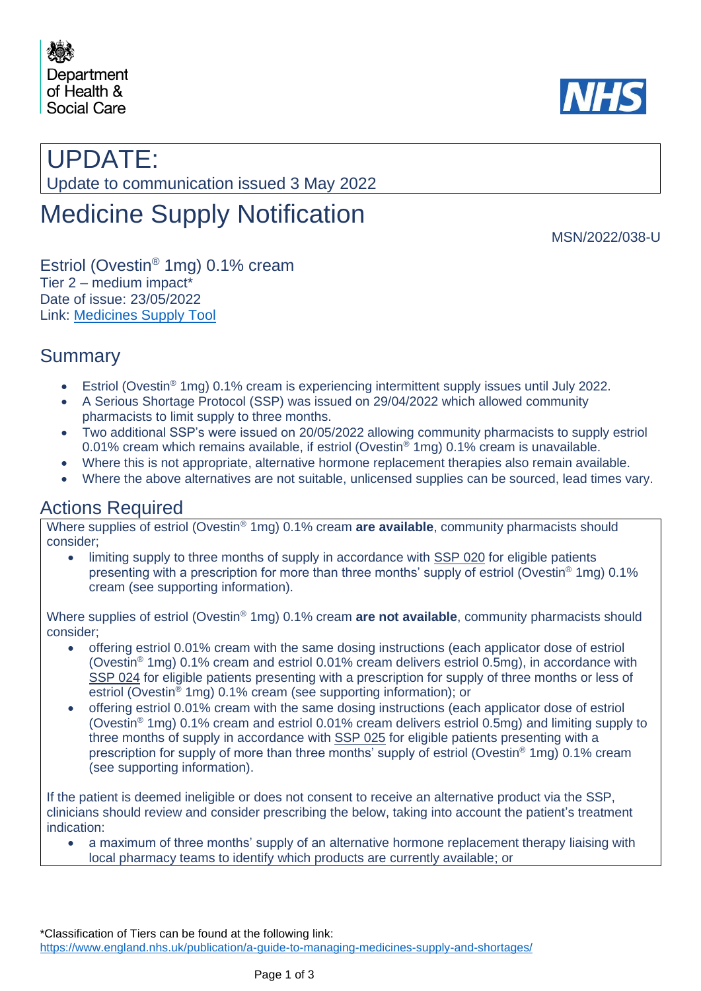



# UPDATE:

Update to communication issued 3 May 2022

# Medicine Supply Notification

MSN/2022/038-U

Estriol (Ovestin® 1mg) 0.1% cream Tier 2 – medium impact\* Date of issue: 23/05/2022 Link: [Medicines Supply Tool](https://www.sps.nhs.uk/home/planning/medicines-supply-tool/)

## Summary

- Estriol (Ovestin® 1mg) 0.1% cream is experiencing intermittent supply issues until July 2022.
- A Serious Shortage Protocol (SSP) was issued on 29/04/2022 which allowed community pharmacists to limit supply to three months.
- Two additional SSP's were issued on 20/05/2022 allowing community pharmacists to supply estriol 0.01% cream which remains available, if estriol (Ovestin<sup>®</sup> 1mg) 0.1% cream is unavailable.
- Where this is not appropriate, alternative hormone replacement therapies also remain available.
- Where the above alternatives are not suitable, unlicensed supplies can be sourced, lead times vary.

## Actions Required

Where supplies of estriol (Ovestin® 1mg) 0.1% cream **are available**, community pharmacists should consider;

• limiting supply to three months of supply in accordance with SSP 020 for eligible patients presenting with a prescription for more than three months' supply of estriol (Ovestin® 1mg) 0.1% cream (see supporting information).

Where supplies of estriol (Ovestin® 1mg) 0.1% cream **are not available**, community pharmacists should consider;

- offering estriol 0.01% cream with the same dosing instructions (each applicator dose of estriol (Ovestin® 1mg) 0.1% cream and estriol 0.01% cream delivers estriol 0.5mg), in accordance with SSP 024 for eligible patients presenting with a prescription for supply of three months or less of estriol (Ovestin<sup>®</sup> 1mg) 0.1% cream (see supporting information); or
- offering estriol 0.01% cream with the same dosing instructions (each applicator dose of estriol (Ovestin® 1mg) 0.1% cream and estriol 0.01% cream delivers estriol 0.5mg) and limiting supply to three months of supply in accordance with SSP 025 for eligible patients presenting with a prescription for supply of more than three months' supply of estriol (Ovestin® 1mg) 0.1% cream (see supporting information).

If the patient is deemed ineligible or does not consent to receive an alternative product via the SSP, clinicians should review and consider prescribing the below, taking into account the patient's treatment indication:

• a maximum of three months' supply of an alternative hormone replacement therapy liaising with local pharmacy teams to identify which products are currently available; or

\*Classification of Tiers can be found at the following link: <https://www.england.nhs.uk/publication/a-guide-to-managing-medicines-supply-and-shortages/>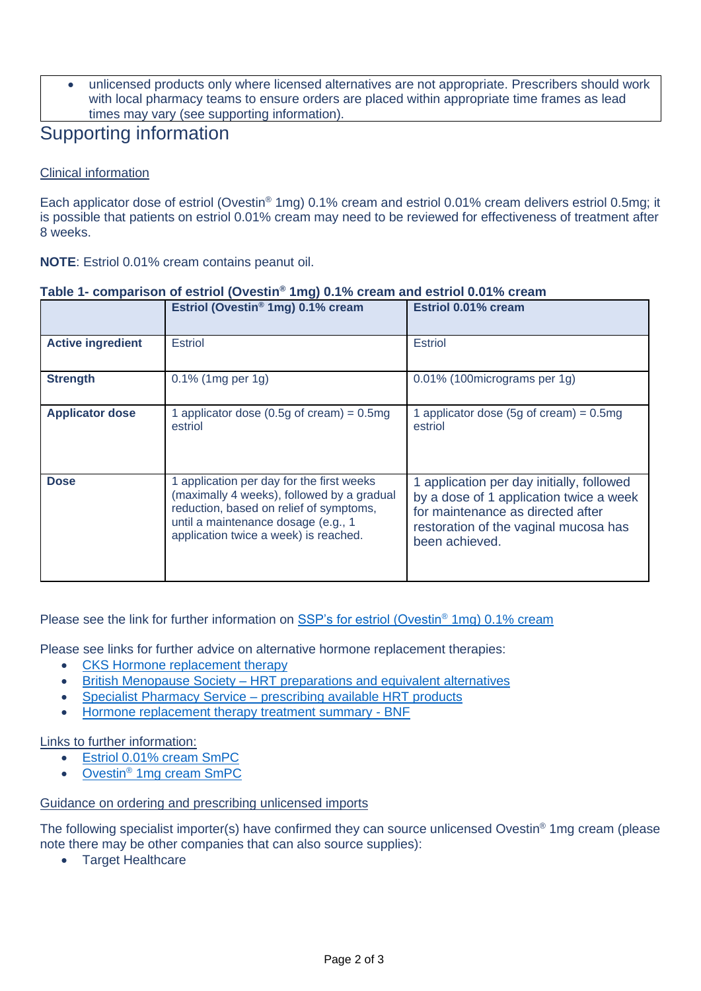• unlicensed products only where licensed alternatives are not appropriate. Prescribers should work with local pharmacy teams to ensure orders are placed within appropriate time frames as lead times may vary (see supporting information).

### Supporting information

#### Clinical information

Each applicator dose of estriol (Ovestin® 1mg) 0.1% cream and estriol 0.01% cream delivers estriol 0.5mg; it is possible that patients on estriol 0.01% cream may need to be reviewed for effectiveness of treatment after 8 weeks.

**NOTE**: Estriol 0.01% cream contains peanut oil.

|                          | Estriol (Ovestin® 1mg) 0.1% cream                                                                                                                                                                                  | Estriol 0.01% cream                                                                                                                                                                  |
|--------------------------|--------------------------------------------------------------------------------------------------------------------------------------------------------------------------------------------------------------------|--------------------------------------------------------------------------------------------------------------------------------------------------------------------------------------|
| <b>Active ingredient</b> | <b>Estriol</b>                                                                                                                                                                                                     | <b>Estriol</b>                                                                                                                                                                       |
| <b>Strength</b>          | $0.1\%$ (1mg per 1g)                                                                                                                                                                                               | 0.01% (100 micrograms per 1g)                                                                                                                                                        |
| <b>Applicator dose</b>   | 1 applicator dose (0.5g of cream) = $0.5mg$<br>estriol                                                                                                                                                             | 1 applicator dose (5g of cream) = $0.5mg$<br>estriol                                                                                                                                 |
| <b>Dose</b>              | 1 application per day for the first weeks<br>(maximally 4 weeks), followed by a gradual<br>reduction, based on relief of symptoms,<br>until a maintenance dosage (e.g., 1<br>application twice a week) is reached. | 1 application per day initially, followed<br>by a dose of 1 application twice a week<br>for maintenance as directed after<br>restoration of the vaginal mucosa has<br>been achieved. |

#### **Table 1- comparison of estriol (Ovestin® 1mg) 0.1% cream and estriol 0.01% cream**

#### Please see the link for further information on [SSP's for estriol \(Ovestin](https://www.nhsbsa.nhs.uk/pharmacies-gp-practices-and-appliance-contractors/serious-shortage-protocols-ssps)<sup>®</sup> 1mg) 0.1% cream

Please see links for further advice on alternative hormone replacement therapies:

- [CKS Hormone replacement therapy](https://cks.nice.org.uk/topics/menopause/prescribing-information/hormone-replacement-therapy-hrt/)
- British Menopause Society [HRT preparations and equivalent](https://thebms.org.uk/wp-content/uploads/2022/01/HRT-Equivalent-preparations-7th-January-22.pdf) alternatives
- Specialist Pharmacy Service [prescribing available HRT products](https://www.sps.nhs.uk/articles/prescribing-available-hrt-products/)
- [Hormone replacement therapy treatment summary -](https://bnf.nice.org.uk/treatment-summary/sex-hormones.html) BNF

Links to further information:

- [Estriol 0.01% cream SmPC](https://www.medicines.org.uk/emc/product/12876/smpc#gref)
- Ovestin® [1mg cream SmPC](https://www.medicines.org.uk/emc/product/5384/smpc)

#### Guidance on ordering and prescribing unlicensed imports

The following specialist importer(s) have confirmed they can source unlicensed Ovestin® 1mg cream (please note there may be other companies that can also source supplies):

• Target Healthcare